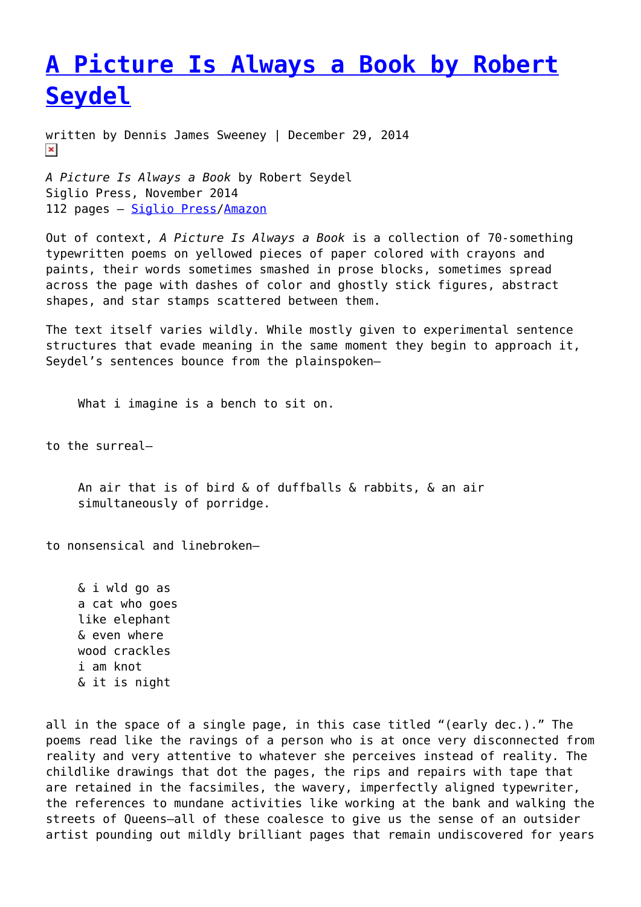## **[A Picture Is Always a Book by Robert](https://entropymag.org/a-picture-is-always-a-book-by-robert-seydel/) [Seydel](https://entropymag.org/a-picture-is-always-a-book-by-robert-seydel/)**

written by Dennis James Sweeney | December 29, 2014  $\pmb{\times}$ 

*A Picture Is Always a Book* by Robert Seydel Siglio Press, November 2014 112 pages – [Siglio Press](http://sigliopress.com/book/picture-always-book/)[/Amazon](http://www.amazon.com/Robert-Seydel-Picture-Further-Writings/dp/1938221060)

Out of context, *A Picture Is Always a Book* is a collection of 70-something typewritten poems on yellowed pieces of paper colored with crayons and paints, their words sometimes smashed in prose blocks, sometimes spread across the page with dashes of color and ghostly stick figures, abstract shapes, and star stamps scattered between them.

The text itself varies wildly. While mostly given to experimental sentence structures that evade meaning in the same moment they begin to approach it, Seydel's sentences bounce from the plainspoken—

What i imagine is a bench to sit on.

to the surreal—

An air that is of bird & of duffballs & rabbits, & an air simultaneously of porridge.

to nonsensical and linebroken—

& i wld go as a cat who goes like elephant & even where wood crackles i am knot & it is night

all in the space of a single page, in this case titled "(early dec.)." The poems read like the ravings of a person who is at once very disconnected from reality and very attentive to whatever she perceives instead of reality. The childlike drawings that dot the pages, the rips and repairs with tape that are retained in the facsimiles, the wavery, imperfectly aligned typewriter, the references to mundane activities like working at the bank and walking the streets of Queens—all of these coalesce to give us the sense of an outsider artist pounding out mildly brilliant pages that remain undiscovered for years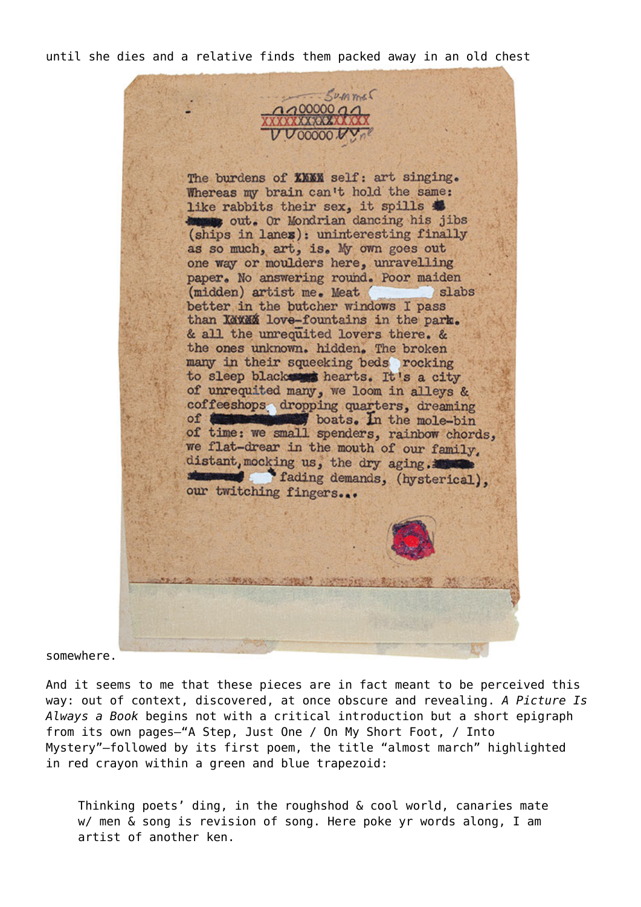until she dies and a relative finds them packed away in an old chest

 $2209$ The burdens of XXXX self: art singing. Whereas my brain can't hold the same: like rabbits their sex, it spills & to out. Or Mondrian dancing his jibs (ships in lanes): uninteresting finally as so much, art, is. My own goes out one way or moulders here, unravelling paper. No answering round. Poor maiden (midden) artist me. Meat slabs better in the butcher windows I pass than Kawaa love-fountains in the park. & all the unrequited lovers there. & the ones unknown. hidden. The broken many in their squeeking beds rocking to sleep blacks thearts. It's a city of unrequited many, we loom in alleys & coffeeshops dropping quarters, dreaming of **the mole-bin** boats. In the mole-bin of time: we small spenders, rainbow chords, we flat-drear in the mouth of our family. distant, mocking us, the dry aging. fading demands, (hysterical), our twitching fingers ...

somewhere.

And it seems to me that these pieces are in fact meant to be perceived this way: out of context, discovered, at once obscure and revealing. *A Picture Is Always a Book* begins not with a critical introduction but a short epigraph from its own pages—"A Step, Just One / On My Short Foot, / Into Mystery"—followed by its first poem, the title "almost march" highlighted in red crayon within a green and blue trapezoid:

Thinking poets' ding, in the roughshod & cool world, canaries mate w/ men & song is revision of song. Here poke yr words along, I am artist of another ken.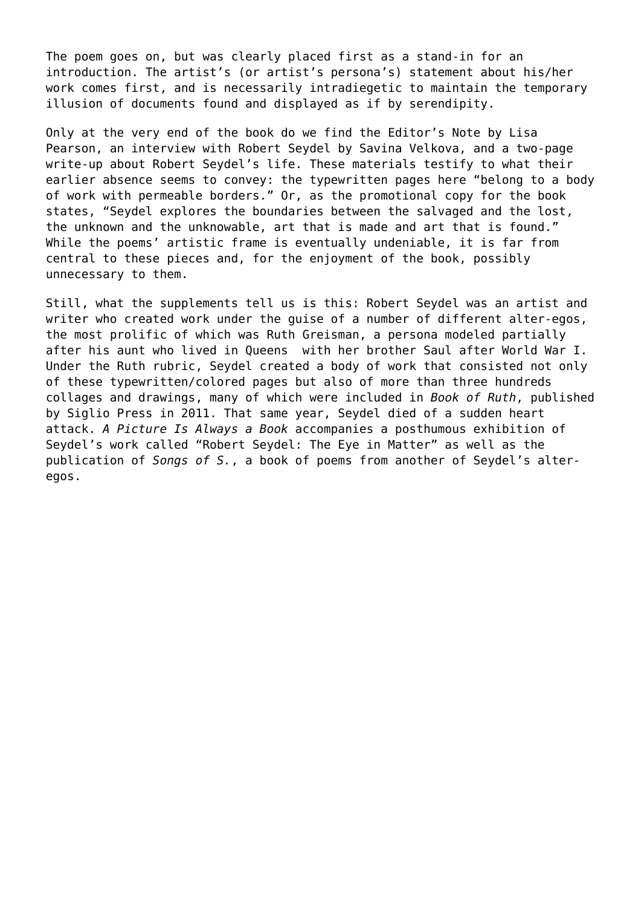The poem goes on, but was clearly placed first as a stand-in for an introduction. The artist's (or artist's persona's) statement about his/her work comes first, and is necessarily intradiegetic to maintain the temporary illusion of documents found and displayed as if by serendipity.

Only at the very end of the book do we find the Editor's Note by Lisa Pearson, an interview with Robert Seydel by Savina Velkova, and a two-page write-up about Robert Seydel's life. These materials testify to what their earlier absence seems to convey: the typewritten pages here "belong to a body of work with permeable borders." Or, as the promotional copy for the book states, "Seydel explores the boundaries between the salvaged and the lost, the unknown and the unknowable, art that is made and art that is found." While the poems' artistic frame is eventually undeniable, it is far from central to these pieces and, for the enjoyment of the book, possibly unnecessary to them.

Still, what the supplements tell us is this: Robert Seydel was an artist and writer who created work under the guise of a number of different alter-egos, the most prolific of which was Ruth Greisman, a persona modeled partially after his aunt who lived in Queens with her brother Saul after World War I. Under the Ruth rubric, Seydel created a body of work that consisted not only of these typewritten/colored pages but also of more than three hundreds collages and drawings, many of which were included in *Book of Ruth*, published by Siglio Press in 2011. That same year, Seydel died of a sudden heart attack. *A Picture Is Always a Book* accompanies a posthumous exhibition of Seydel's work called "Robert Seydel: The Eye in Matter" as well as the publication of *Songs of S.*, a book of poems from another of Seydel's alteregos.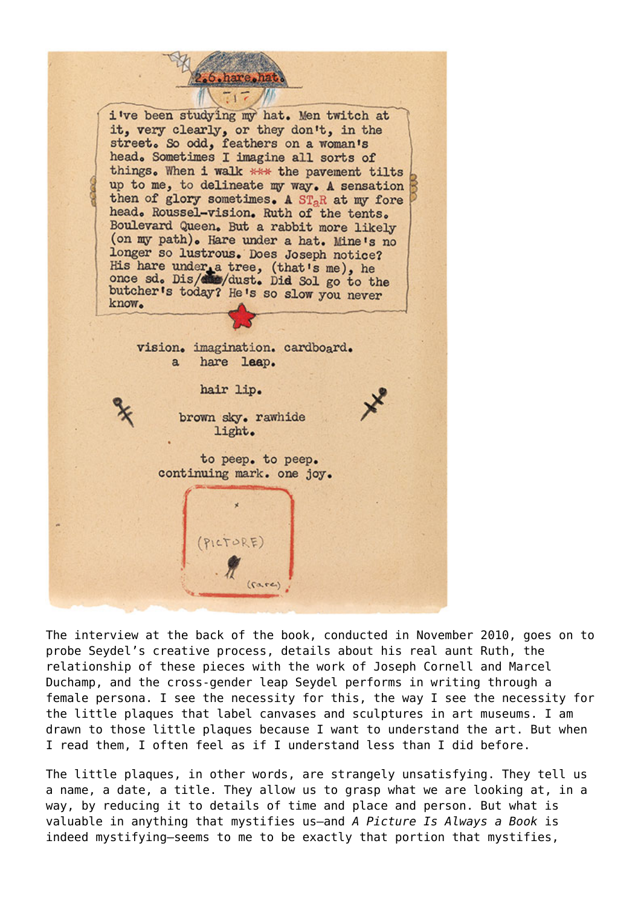i've been studying my hat. Men twitch at it, very clearly, or they don't, in the street. So odd, feathers on a woman's head. Sometimes I imagine all sorts of things. When i walk \*\*\* the pavement tilts up to me, to delineate my way. A sensation then of glory sometimes. A ST<sub>a</sub>R at my fore head. Roussel-vision. Ruth of the tents. Boulevard Queen. But a rabbit more likely (on my path). Hare under a hat. Mine's no longer so lustrous. Does Joseph notice? His hare under a tree, (that's me), he<br>once sd. Dis/dis/dust. Did Sol go to the butcher's today? He's so slow you never know. vision. imagination. cardboard. hare leap.  $\mathbf{a}$ hair lip. brown sky. rawhide light. to peep. to peep. continuing mark. one joy. PICTORE  $(carec)$ 

The interview at the back of the book, conducted in November 2010, goes on to probe Seydel's creative process, details about his real aunt Ruth, the relationship of these pieces with the work of Joseph Cornell and Marcel Duchamp, and the cross-gender leap Seydel performs in writing through a female persona. I see the necessity for this, the way I see the necessity for the little plaques that label canvases and sculptures in art museums. I am drawn to those little plaques because I want to understand the art. But when I read them, I often feel as if I understand less than I did before.

The little plaques, in other words, are strangely unsatisfying. They tell us a name, a date, a title. They allow us to grasp what we are looking at, in a way, by reducing it to details of time and place and person. But what is valuable in anything that mystifies us—and *A Picture Is Always a Book* is indeed mystifying—seems to me to be exactly that portion that mystifies,